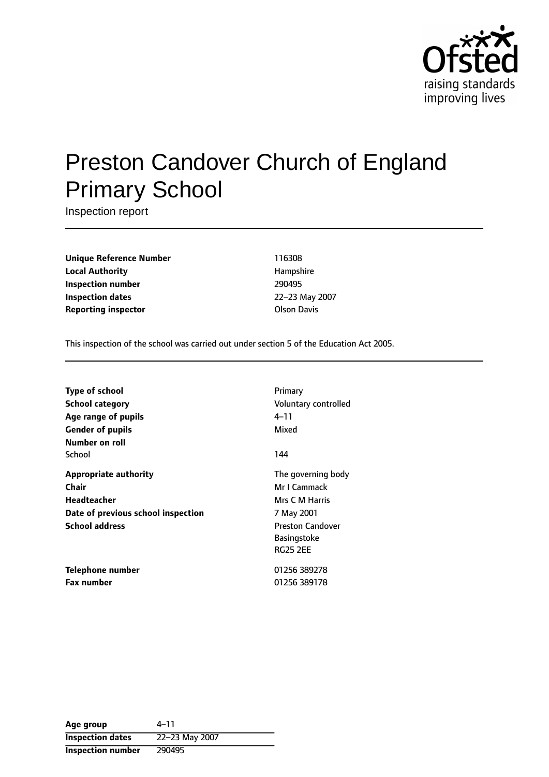

# Preston Candover Church of England Primary School

Inspection report

**Unique Reference Number** 116308 **Local Authority Hampshire Inspection number** 290495 **Inspection dates** 22-23 May 2007 **Reporting inspector and COLSON DAVIS COLSON DAVIS** 

This inspection of the school was carried out under section 5 of the Education Act 2005.

| <b>Type of school</b><br><b>School category</b><br>Age range of pupils<br><b>Gender of pupils</b><br>Number on roll        | Primary<br>Voluntary controlled<br>4–11<br>Mixed                                                                                       |
|----------------------------------------------------------------------------------------------------------------------------|----------------------------------------------------------------------------------------------------------------------------------------|
| School                                                                                                                     | 144                                                                                                                                    |
| <b>Appropriate authority</b><br>Chair<br><b>Headteacher</b><br>Date of previous school inspection<br><b>School address</b> | The governing body<br>Mr I Cammack<br>Mrs C M Harris<br>7 May 2001<br><b>Preston Candover</b><br><b>Basingstoke</b><br><b>RG25 2FF</b> |
| Telephone number<br><b>Fax number</b>                                                                                      | 01256 389278<br>01256 389178                                                                                                           |

| Age group                | 4–11           |
|--------------------------|----------------|
| <b>Inspection dates</b>  | 22-23 May 2007 |
| <b>Inspection number</b> | 290495         |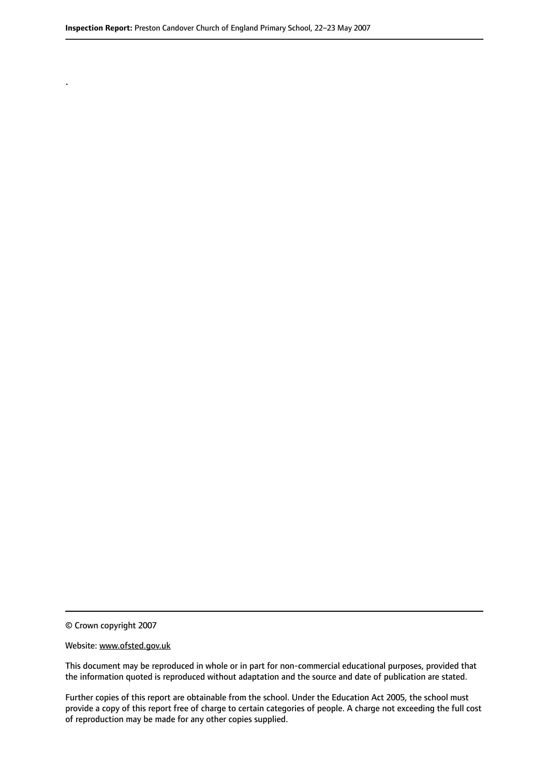© Crown copyright 2007

.

#### Website: www.ofsted.gov.uk

This document may be reproduced in whole or in part for non-commercial educational purposes, provided that the information quoted is reproduced without adaptation and the source and date of publication are stated.

Further copies of this report are obtainable from the school. Under the Education Act 2005, the school must provide a copy of this report free of charge to certain categories of people. A charge not exceeding the full cost of reproduction may be made for any other copies supplied.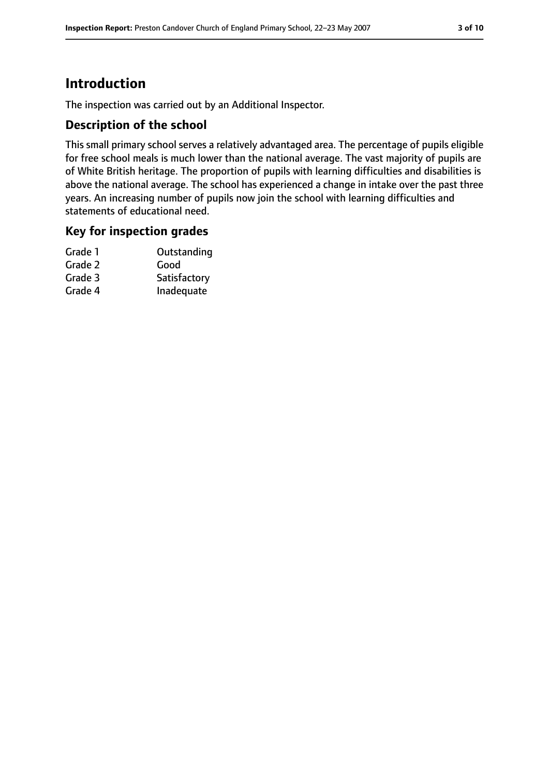## **Introduction**

The inspection was carried out by an Additional Inspector.

#### **Description of the school**

This small primary school serves a relatively advantaged area. The percentage of pupils eligible for free school meals is much lower than the national average. The vast majority of pupils are of White British heritage. The proportion of pupils with learning difficulties and disabilities is above the national average. The school has experienced a change in intake over the past three years. An increasing number of pupils now join the school with learning difficulties and statements of educational need.

#### **Key for inspection grades**

| Grade 1 | Outstanding  |
|---------|--------------|
| Grade 2 | Good         |
| Grade 3 | Satisfactory |
| Grade 4 | Inadequate   |
|         |              |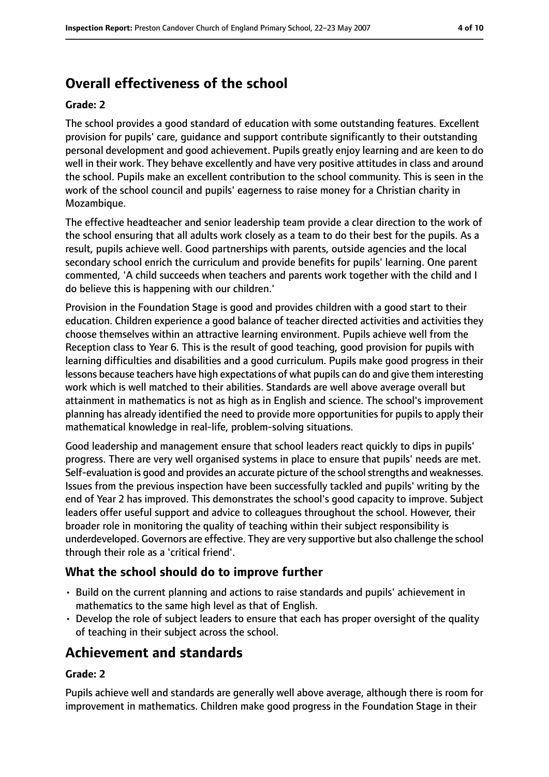## **Overall effectiveness of the school**

#### **Grade: 2**

The school provides a good standard of education with some outstanding features. Excellent provision for pupils' care, guidance and support contribute significantly to their outstanding personal development and good achievement. Pupils greatly enjoy learning and are keen to do well in their work. They behave excellently and have very positive attitudes in class and around the school. Pupils make an excellent contribution to the school community. This is seen in the work of the school council and pupils' eagerness to raise money for a Christian charity in Mozambique.

The effective headteacher and senior leadership team provide a clear direction to the work of the school ensuring that all adults work closely as a team to do their best for the pupils. As a result, pupils achieve well. Good partnerships with parents, outside agencies and the local secondary school enrich the curriculum and provide benefits for pupils' learning. One parent commented, 'A child succeeds when teachers and parents work together with the child and I do believe this is happening with our children.'

Provision in the Foundation Stage is good and provides children with a good start to their education. Children experience a good balance of teacher directed activities and activities they choose themselves within an attractive learning environment. Pupils achieve well from the Reception class to Year 6. This is the result of good teaching, good provision for pupils with learning difficulties and disabilities and a good curriculum. Pupils make good progress in their lessons because teachers have high expectations of what pupils can do and give them interesting work which is well matched to their abilities. Standards are well above average overall but attainment in mathematics is not as high as in English and science. The school's improvement planning has already identified the need to provide more opportunities for pupils to apply their mathematical knowledge in real-life, problem-solving situations.

Good leadership and management ensure that school leaders react quickly to dips in pupils' progress. There are very well organised systems in place to ensure that pupils' needs are met. Self-evaluation is good and provides an accurate picture of the school strengths and weaknesses. Issues from the previous inspection have been successfully tackled and pupils' writing by the end of Year 2 has improved. This demonstrates the school's good capacity to improve. Subject leaders offer useful support and advice to colleagues throughout the school. However, their broader role in monitoring the quality of teaching within their subject responsibility is underdeveloped. Governors are effective. They are very supportive but also challenge the school through their role as a 'critical friend'.

## **What the school should do to improve further**

- Build on the current planning and actions to raise standards and pupils' achievement in mathematics to the same high level as that of English.
- Develop the role of subject leaders to ensure that each has proper oversight of the quality of teaching in their subject across the school.

## **Achievement and standards**

#### **Grade: 2**

Pupils achieve well and standards are generally well above average, although there is room for improvement in mathematics. Children make good progress in the Foundation Stage in their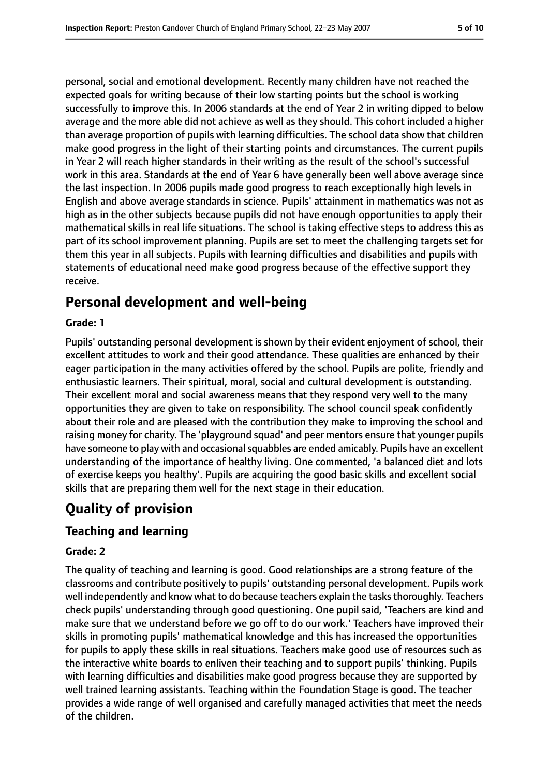personal, social and emotional development. Recently many children have not reached the expected goals for writing because of their low starting points but the school is working successfully to improve this. In 2006 standards at the end of Year 2 in writing dipped to below average and the more able did not achieve as well as they should. This cohort included a higher than average proportion of pupils with learning difficulties. The school data show that children make good progress in the light of their starting points and circumstances. The current pupils in Year 2 will reach higher standards in their writing as the result of the school's successful work in this area. Standards at the end of Year 6 have generally been well above average since the last inspection. In 2006 pupils made good progress to reach exceptionally high levels in English and above average standards in science. Pupils' attainment in mathematics was not as high as in the other subjects because pupils did not have enough opportunities to apply their mathematical skills in real life situations. The school is taking effective steps to address this as part of its school improvement planning. Pupils are set to meet the challenging targets set for them this year in all subjects. Pupils with learning difficulties and disabilities and pupils with statements of educational need make good progress because of the effective support they receive.

## **Personal development and well-being**

#### **Grade: 1**

Pupils' outstanding personal development is shown by their evident enjoyment of school, their excellent attitudes to work and their good attendance. These qualities are enhanced by their eager participation in the many activities offered by the school. Pupils are polite, friendly and enthusiastic learners. Their spiritual, moral, social and cultural development is outstanding. Their excellent moral and social awareness means that they respond very well to the many opportunities they are given to take on responsibility. The school council speak confidently about their role and are pleased with the contribution they make to improving the school and raising money for charity. The 'playground squad' and peer mentors ensure that younger pupils have someone to play with and occasional squabbles are ended amicably. Pupils have an excellent understanding of the importance of healthy living. One commented, 'a balanced diet and lots of exercise keeps you healthy'. Pupils are acquiring the good basic skills and excellent social skills that are preparing them well for the next stage in their education.

## **Quality of provision**

#### **Teaching and learning**

#### **Grade: 2**

The quality of teaching and learning is good. Good relationships are a strong feature of the classrooms and contribute positively to pupils' outstanding personal development. Pupils work well independently and know what to do because teachers explain the tasks thoroughly. Teachers check pupils' understanding through good questioning. One pupil said, 'Teachers are kind and make sure that we understand before we go off to do our work.' Teachers have improved their skills in promoting pupils' mathematical knowledge and this has increased the opportunities for pupils to apply these skills in real situations. Teachers make good use of resources such as the interactive white boards to enliven their teaching and to support pupils' thinking. Pupils with learning difficulties and disabilities make good progress because they are supported by well trained learning assistants. Teaching within the Foundation Stage is good. The teacher provides a wide range of well organised and carefully managed activities that meet the needs of the children.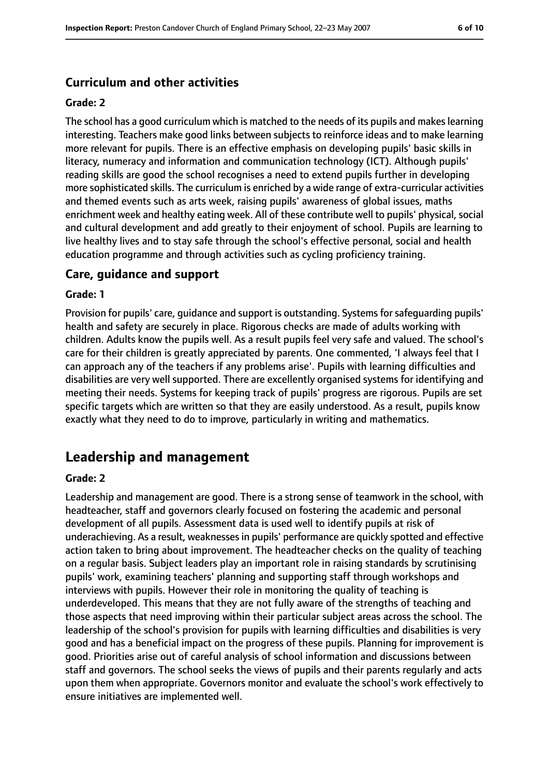## **Curriculum and other activities**

#### **Grade: 2**

The school has a good curriculum which is matched to the needs of its pupils and makeslearning interesting. Teachers make good links between subjects to reinforce ideas and to make learning more relevant for pupils. There is an effective emphasis on developing pupils' basic skills in literacy, numeracy and information and communication technology (ICT). Although pupils' reading skills are good the school recognises a need to extend pupils further in developing more sophisticated skills. The curriculum is enriched by a wide range of extra-curricular activities and themed events such as arts week, raising pupils' awareness of global issues, maths enrichment week and healthy eating week. All of these contribute well to pupils' physical, social and cultural development and add greatly to their enjoyment of school. Pupils are learning to live healthy lives and to stay safe through the school's effective personal, social and health education programme and through activities such as cycling proficiency training.

#### **Care, guidance and support**

#### **Grade: 1**

Provision for pupils' care, quidance and support is outstanding. Systems for safequarding pupils' health and safety are securely in place. Rigorous checks are made of adults working with children. Adults know the pupils well. As a result pupils feel very safe and valued. The school's care for their children is greatly appreciated by parents. One commented, 'I always feel that I can approach any of the teachers if any problems arise'. Pupils with learning difficulties and disabilities are very well supported. There are excellently organised systems for identifying and meeting their needs. Systems for keeping track of pupils' progress are rigorous. Pupils are set specific targets which are written so that they are easily understood. As a result, pupils know exactly what they need to do to improve, particularly in writing and mathematics.

## **Leadership and management**

#### **Grade: 2**

Leadership and management are good. There is a strong sense of teamwork in the school, with headteacher, staff and governors clearly focused on fostering the academic and personal development of all pupils. Assessment data is used well to identify pupils at risk of underachieving. As a result, weaknessesin pupils' performance are quickly spotted and effective action taken to bring about improvement. The headteacher checks on the quality of teaching on a regular basis. Subject leaders play an important role in raising standards by scrutinising pupils' work, examining teachers' planning and supporting staff through workshops and interviews with pupils. However their role in monitoring the quality of teaching is underdeveloped. This means that they are not fully aware of the strengths of teaching and those aspects that need improving within their particular subject areas across the school. The leadership of the school's provision for pupils with learning difficulties and disabilities is very good and has a beneficial impact on the progress of these pupils. Planning for improvement is good. Priorities arise out of careful analysis of school information and discussions between staff and governors. The school seeks the views of pupils and their parents regularly and acts upon them when appropriate. Governors monitor and evaluate the school's work effectively to ensure initiatives are implemented well.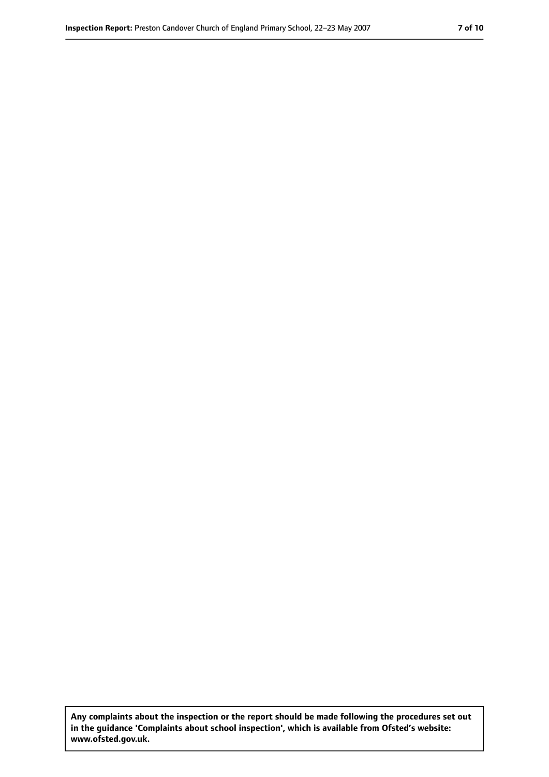**Any complaints about the inspection or the report should be made following the procedures set out in the guidance 'Complaints about school inspection', which is available from Ofsted's website: www.ofsted.gov.uk.**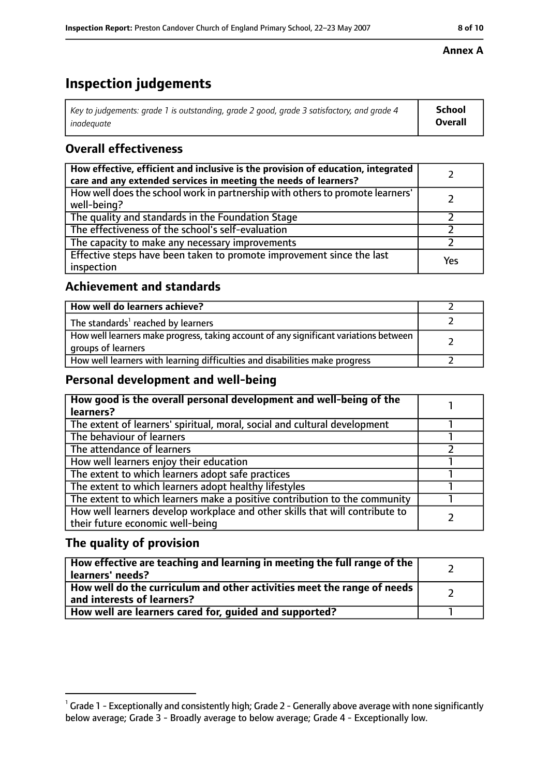# **Inspection judgements**

| $^{\circ}$ Key to judgements: grade 1 is outstanding, grade 2 good, grade 3 satisfactory, and grade 4 $^{\circ}$ | School         |
|------------------------------------------------------------------------------------------------------------------|----------------|
| inadeauate                                                                                                       | <b>Overall</b> |

## **Overall effectiveness**

| How effective, efficient and inclusive is the provision of education, integrated<br>care and any extended services in meeting the needs of learners? |     |
|------------------------------------------------------------------------------------------------------------------------------------------------------|-----|
| How well does the school work in partnership with others to promote learners'<br>well-being?                                                         |     |
| The quality and standards in the Foundation Stage                                                                                                    |     |
| The effectiveness of the school's self-evaluation                                                                                                    |     |
| The capacity to make any necessary improvements                                                                                                      |     |
| Effective steps have been taken to promote improvement since the last<br>inspection                                                                  | Yes |

## **Achievement and standards**

| How well do learners achieve?                                                                               |  |
|-------------------------------------------------------------------------------------------------------------|--|
| The standards <sup>1</sup> reached by learners                                                              |  |
| How well learners make progress, taking account of any significant variations between<br>groups of learners |  |
| How well learners with learning difficulties and disabilities make progress                                 |  |

#### **Personal development and well-being**

| How good is the overall personal development and well-being of the<br>learners?                                  |  |
|------------------------------------------------------------------------------------------------------------------|--|
| The extent of learners' spiritual, moral, social and cultural development                                        |  |
| The behaviour of learners                                                                                        |  |
| The attendance of learners                                                                                       |  |
| How well learners enjoy their education                                                                          |  |
| The extent to which learners adopt safe practices                                                                |  |
| The extent to which learners adopt healthy lifestyles                                                            |  |
| The extent to which learners make a positive contribution to the community                                       |  |
| How well learners develop workplace and other skills that will contribute to<br>their future economic well-being |  |

## **The quality of provision**

| How effective are teaching and learning in meeting the full range of the<br>learners' needs?          |  |
|-------------------------------------------------------------------------------------------------------|--|
| How well do the curriculum and other activities meet the range of needs<br>and interests of learners? |  |
| How well are learners cared for, quided and supported?                                                |  |

#### **Annex A**

 $^1$  Grade 1 - Exceptionally and consistently high; Grade 2 - Generally above average with none significantly below average; Grade 3 - Broadly average to below average; Grade 4 - Exceptionally low.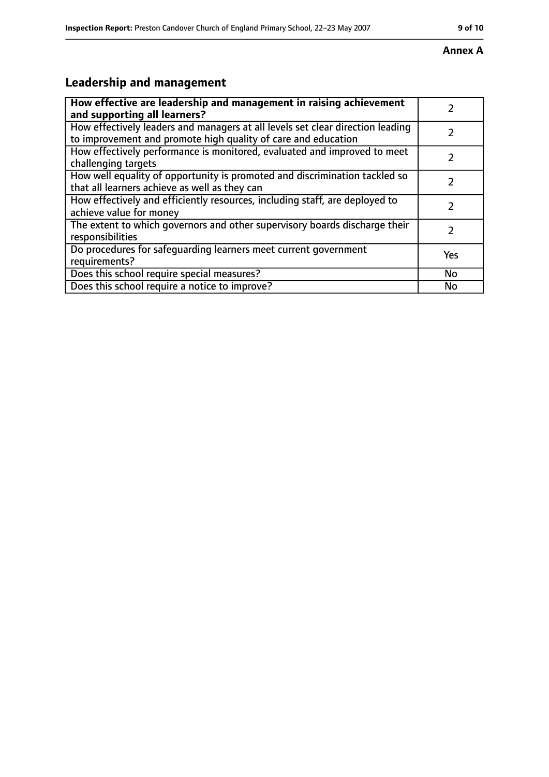# **Annex A**

# **Leadership and management**

| How effective are leadership and management in raising achievement<br>and supporting all learners?                                              |     |
|-------------------------------------------------------------------------------------------------------------------------------------------------|-----|
| How effectively leaders and managers at all levels set clear direction leading<br>to improvement and promote high quality of care and education |     |
| How effectively performance is monitored, evaluated and improved to meet<br>challenging targets                                                 |     |
| How well equality of opportunity is promoted and discrimination tackled so<br>that all learners achieve as well as they can                     |     |
| How effectively and efficiently resources, including staff, are deployed to<br>achieve value for money                                          |     |
| The extent to which governors and other supervisory boards discharge their<br>responsibilities                                                  |     |
| Do procedures for safequarding learners meet current government<br>requirements?                                                                | Yes |
| Does this school require special measures?                                                                                                      | No  |
| Does this school require a notice to improve?                                                                                                   | No  |